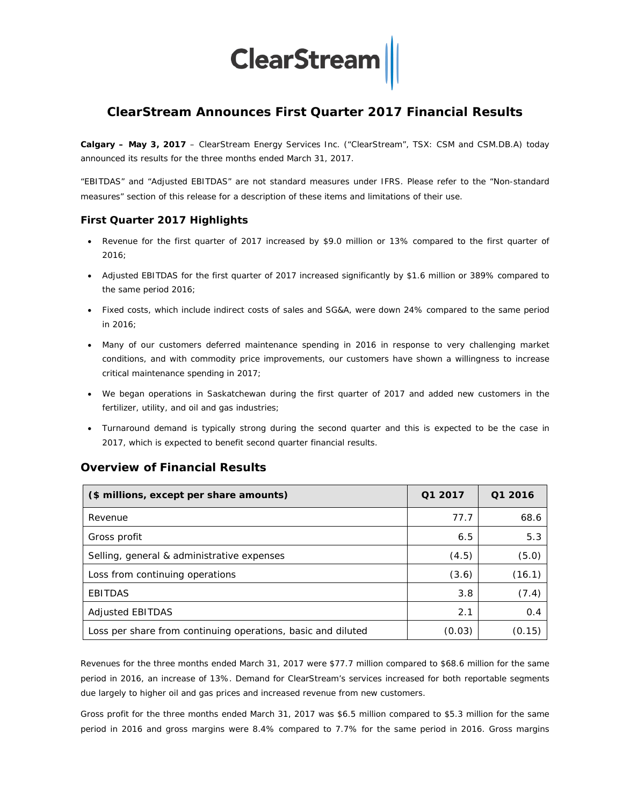

# **ClearStream Announces First Quarter 2017 Financial Results**

**Calgary – May 3, 2017** – ClearStream Energy Services Inc. ("ClearStream", TSX: CSM and CSM.DB.A) today announced its results for the three months ended March 31, 2017.

"EBITDAS" and "Adjusted EBITDAS" are not standard measures under IFRS. Please refer to the "Non-standard measures" section of this release for a description of these items and limitations of their use.

### **First Quarter 2017 Highlights**

- Revenue for the first quarter of 2017 increased by \$9.0 million or 13% compared to the first quarter of 2016;
- Adjusted EBITDAS for the first quarter of 2017 increased significantly by \$1.6 million or 389% compared to the same period 2016;
- Fixed costs, which include indirect costs of sales and SG&A, were down 24% compared to the same period in 2016;
- Many of our customers deferred maintenance spending in 2016 in response to very challenging market conditions, and with commodity price improvements, our customers have shown a willingness to increase critical maintenance spending in 2017;
- We began operations in Saskatchewan during the first quarter of 2017 and added new customers in the fertilizer, utility, and oil and gas industries;
- Turnaround demand is typically strong during the second quarter and this is expected to be the case in 2017, which is expected to benefit second quarter financial results.

| (\$ millions, except per share amounts)                      | Q1 2017 | Q1 2016 |
|--------------------------------------------------------------|---------|---------|
| Revenue                                                      | 77.7    | 68.6    |
| Gross profit                                                 | 6.5     | 5.3     |
| Selling, general & administrative expenses                   | (4.5)   | (5.0)   |
| Loss from continuing operations                              | (3.6)   | (16.1)  |
| <b>EBITDAS</b>                                               | 3.8     | (7.4)   |
| <b>Adjusted EBITDAS</b>                                      | 2.1     | 0.4     |
| Loss per share from continuing operations, basic and diluted | (0.03)  | (0.15)  |

## **Overview of Financial Results**

Revenues for the three months ended March 31, 2017 were \$77.7 million compared to \$68.6 million for the same period in 2016, an increase of 13%. Demand for ClearStream's services increased for both reportable segments due largely to higher oil and gas prices and increased revenue from new customers.

Gross profit for the three months ended March 31, 2017 was \$6.5 million compared to \$5.3 million for the same period in 2016 and gross margins were 8.4% compared to 7.7% for the same period in 2016. Gross margins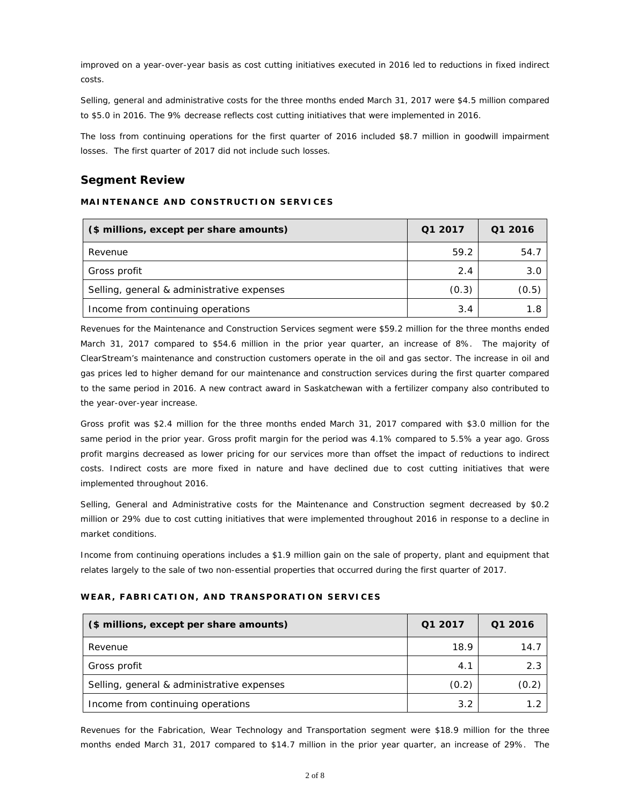improved on a year-over-year basis as cost cutting initiatives executed in 2016 led to reductions in fixed indirect costs.

Selling, general and administrative costs for the three months ended March 31, 2017 were \$4.5 million compared to \$5.0 in 2016. The 9% decrease reflects cost cutting initiatives that were implemented in 2016.

The loss from continuing operations for the first quarter of 2016 included \$8.7 million in goodwill impairment losses. The first quarter of 2017 did not include such losses.

## **Segment Review**

### **MAINTENANCE AND CONSTRUCTION SERVICES**

| (\$ millions, except per share amounts)    | Q1 2017 | Q1 2016 |
|--------------------------------------------|---------|---------|
| Revenue                                    | 59.2    | 54.7    |
| Gross profit                               | 2.4     | 3.0     |
| Selling, general & administrative expenses | (0.3)   | (0.5)   |
| Income from continuing operations          | 3.4     |         |

Revenues for the Maintenance and Construction Services segment were \$59.2 million for the three months ended March 31, 2017 compared to \$54.6 million in the prior year quarter, an increase of 8%. The majority of ClearStream's maintenance and construction customers operate in the oil and gas sector. The increase in oil and gas prices led to higher demand for our maintenance and construction services during the first quarter compared to the same period in 2016. A new contract award in Saskatchewan with a fertilizer company also contributed to the year-over-year increase.

Gross profit was \$2.4 million for the three months ended March 31, 2017 compared with \$3.0 million for the same period in the prior year. Gross profit margin for the period was 4.1% compared to 5.5% a year ago. Gross profit margins decreased as lower pricing for our services more than offset the impact of reductions to indirect costs. Indirect costs are more fixed in nature and have declined due to cost cutting initiatives that were implemented throughout 2016.

Selling, General and Administrative costs for the Maintenance and Construction segment decreased by \$0.2 million or 29% due to cost cutting initiatives that were implemented throughout 2016 in response to a decline in market conditions.

Income from continuing operations includes a \$1.9 million gain on the sale of property, plant and equipment that relates largely to the sale of two non-essential properties that occurred during the first quarter of 2017.

#### **WEAR, FABRICATION, AND TRANSPORATION SERVICES**

| (\$ millions, except per share amounts)    | Q1 2017 | Q1 2016 |
|--------------------------------------------|---------|---------|
| Revenue                                    | 18.9    | 14.7    |
| Gross profit                               | 4.1     | 2.3     |
| Selling, general & administrative expenses | (0.2)   | (0.2)   |
| Income from continuing operations          | 3.2     |         |

Revenues for the Fabrication, Wear Technology and Transportation segment were \$18.9 million for the three months ended March 31, 2017 compared to \$14.7 million in the prior year quarter, an increase of 29%. The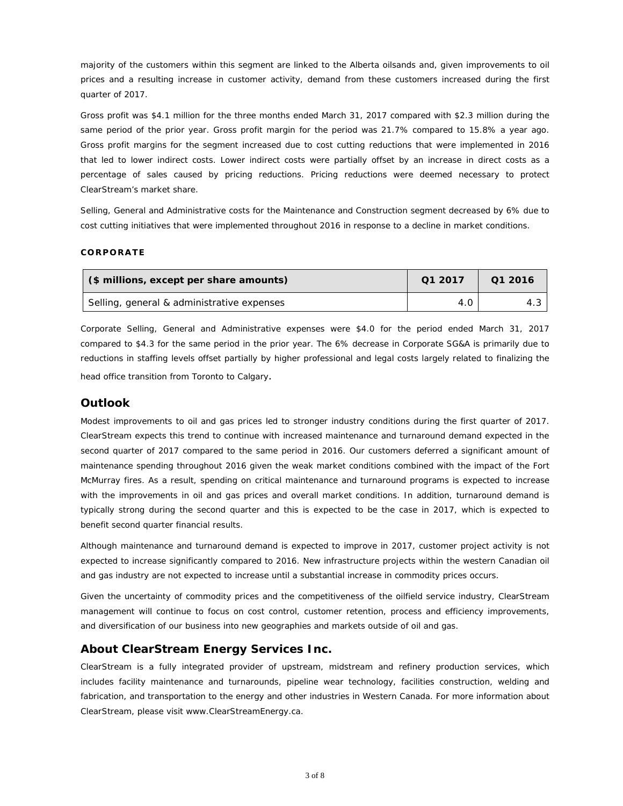majority of the customers within this segment are linked to the Alberta oilsands and, given improvements to oil prices and a resulting increase in customer activity, demand from these customers increased during the first quarter of 2017.

Gross profit was \$4.1 million for the three months ended March 31, 2017 compared with \$2.3 million during the same period of the prior year. Gross profit margin for the period was 21.7% compared to 15.8% a year ago. Gross profit margins for the segment increased due to cost cutting reductions that were implemented in 2016 that led to lower indirect costs. Lower indirect costs were partially offset by an increase in direct costs as a percentage of sales caused by pricing reductions. Pricing reductions were deemed necessary to protect ClearStream's market share.

Selling, General and Administrative costs for the Maintenance and Construction segment decreased by 6% due to cost cutting initiatives that were implemented throughout 2016 in response to a decline in market conditions.

#### **CORPORATE**

| (\$ millions, except per share amounts)    | Q1 2017 | Q1 2016 |  |
|--------------------------------------------|---------|---------|--|
| Selling, general & administrative expenses | 4.0     | 4.3     |  |

Corporate Selling, General and Administrative expenses were \$4.0 for the period ended March 31, 2017 compared to \$4.3 for the same period in the prior year. The 6% decrease in Corporate SG&A is primarily due to reductions in staffing levels offset partially by higher professional and legal costs largely related to finalizing the head office transition from Toronto to Calgary.

## **Outlook**

Modest improvements to oil and gas prices led to stronger industry conditions during the first quarter of 2017. ClearStream expects this trend to continue with increased maintenance and turnaround demand expected in the second quarter of 2017 compared to the same period in 2016. Our customers deferred a significant amount of maintenance spending throughout 2016 given the weak market conditions combined with the impact of the Fort McMurray fires. As a result, spending on critical maintenance and turnaround programs is expected to increase with the improvements in oil and gas prices and overall market conditions. In addition, turnaround demand is typically strong during the second quarter and this is expected to be the case in 2017, which is expected to benefit second quarter financial results.

Although maintenance and turnaround demand is expected to improve in 2017, customer project activity is not expected to increase significantly compared to 2016. New infrastructure projects within the western Canadian oil and gas industry are not expected to increase until a substantial increase in commodity prices occurs.

Given the uncertainty of commodity prices and the competitiveness of the oilfield service industry, ClearStream management will continue to focus on cost control, customer retention, process and efficiency improvements, and diversification of our business into new geographies and markets outside of oil and gas.

## **About ClearStream Energy Services Inc.**

ClearStream is a fully integrated provider of upstream, midstream and refinery production services, which includes facility maintenance and turnarounds, pipeline wear technology, facilities construction, welding and fabrication, and transportation to the energy and other industries in Western Canada. For more information about ClearStream, please visit [www.ClearStreamEnergy.ca.](http://www.clearstreamenergy.ca/)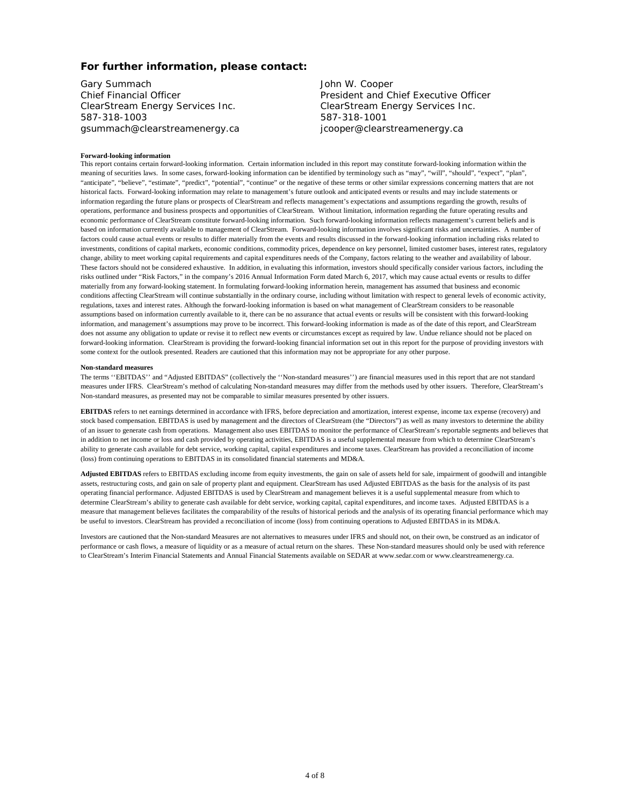#### **For further information, please contact:**

Gary Summach Chief Financial Officer ClearStream Energy Services Inc. 587-318-1003 gsummach@clearstreamenergy.ca John W. Cooper President and Chief Executive Officer ClearStream Energy Services Inc. 587-318-1001 jcooper@clearstreamenergy.ca

#### **Forward-looking information**

This report contains certain forward-looking information. Certain information included in this report may constitute forward-looking information within the meaning of securities laws. In some cases, forward-looking information can be identified by terminology such as "may", "will", "should", "expect", "plan", "anticipate", "believe", "estimate", "predict", "potential", "continue" or the negative of these terms or other similar expressions concerning matters that are not historical facts. Forward-looking information may relate to management's future outlook and anticipated events or results and may include statements or information regarding the future plans or prospects of ClearStream and reflects management's expectations and assumptions regarding the growth, results of operations, performance and business prospects and opportunities of ClearStream. Without limitation, information regarding the future operating results and economic performance of ClearStream constitute forward-looking information. Such forward-looking information reflects management's current beliefs and is based on information currently available to management of ClearStream. Forward-looking information involves significant risks and uncertainties. A number of factors could cause actual events or results to differ materially from the events and results discussed in the forward-looking information including risks related to investments, conditions of capital markets, economic conditions, commodity prices, dependence on key personnel, limited customer bases, interest rates, regulatory change, ability to meet working capital requirements and capital expenditures needs of the Company, factors relating to the weather and availability of labour. These factors should not be considered exhaustive. In addition, in evaluating this information, investors should specifically consider various factors, including the risks outlined under "Risk Factors," in the company's 2016 Annual Information Form dated March 6, 2017, which may cause actual events or results to differ materially from any forward-looking statement. In formulating forward-looking information herein, management has assumed that business and economic conditions affecting ClearStream will continue substantially in the ordinary course, including without limitation with respect to general levels of economic activity, regulations, taxes and interest rates. Although the forward-looking information is based on what management of ClearStream considers to be reasonable assumptions based on information currently available to it, there can be no assurance that actual events or results will be consistent with this forward-looking information, and management's assumptions may prove to be incorrect. This forward-looking information is made as of the date of this report, and ClearStream does not assume any obligation to update or revise it to reflect new events or circumstances except as required by law. Undue reliance should not be placed on forward-looking information. ClearStream is providing the forward-looking financial information set out in this report for the purpose of providing investors with some context for the outlook presented. Readers are cautioned that this information may not be appropriate for any other purpose.

#### **Non-standard measures**

The terms ''EBITDAS'' and "Adjusted EBITDAS" (collectively the ''Non-standard measures'') are financial measures used in this report that are not standard measures under IFRS. ClearStream's method of calculating Non-standard measures may differ from the methods used by other issuers. Therefore, ClearStream's Non-standard measures, as presented may not be comparable to similar measures presented by other issuers.

**EBITDAS** refers to net earnings determined in accordance with IFRS, before depreciation and amortization, interest expense, income tax expense (recovery) and stock based compensation. EBITDAS is used by management and the directors of ClearStream (the "Directors") as well as many investors to determine the ability of an issuer to generate cash from operations. Management also uses EBITDAS to monitor the performance of ClearStream's reportable segments and believes that in addition to net income or loss and cash provided by operating activities, EBITDAS is a useful supplemental measure from which to determine ClearStream's ability to generate cash available for debt service, working capital, capital expenditures and income taxes. ClearStream has provided a reconciliation of income (loss) from continuing operations to EBITDAS in its consolidated financial statements and MD&A.

**Adjusted EBITDAS** refers to EBITDAS excluding income from equity investments, the gain on sale of assets held for sale, impairment of goodwill and intangible assets, restructuring costs, and gain on sale of property plant and equipment. ClearStream has used Adjusted EBITDAS as the basis for the analysis of its past operating financial performance. Adjusted EBITDAS is used by ClearStream and management believes it is a useful supplemental measure from which to determine ClearStream's ability to generate cash available for debt service, working capital, capital expenditures, and income taxes. Adjusted EBITDAS is a measure that management believes facilitates the comparability of the results of historical periods and the analysis of its operating financial performance which may be useful to investors. ClearStream has provided a reconciliation of income (loss) from continuing operations to Adjusted EBITDAS in its MD&A.

Investors are cautioned that the Non-standard Measures are not alternatives to measures under IFRS and should not, on their own, be construed as an indicator of performance or cash flows, a measure of liquidity or as a measure of actual return on the shares. These Non-standard measures should only be used with reference to ClearStream's Interim Financial Statements and Annual Financial Statements available on SEDAR a[t www.sedar.com](http://www.sedar.com/) or www.clearstreamenergy.ca.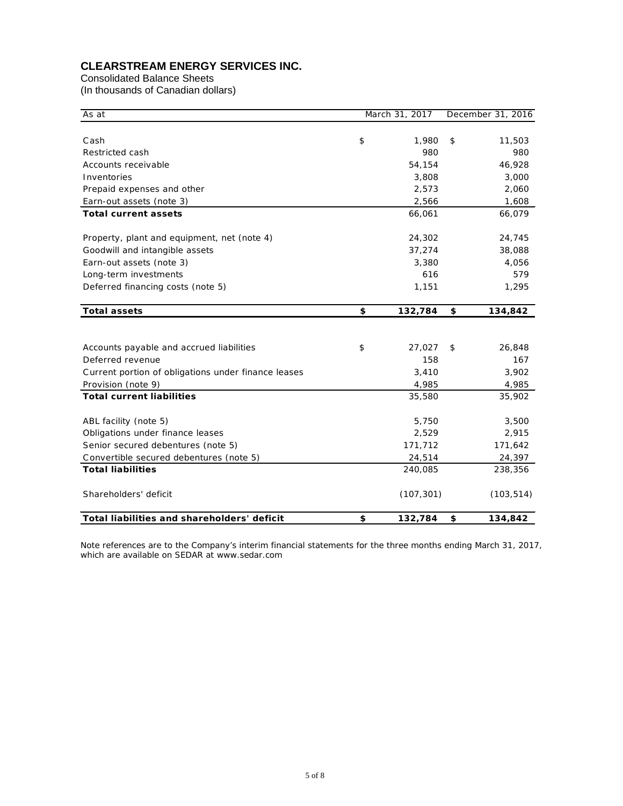Consolidated Balance Sheets

(In thousands of Canadian dollars)

| As at                                               | March 31, 2017 | December 31, 2016 |            |  |
|-----------------------------------------------------|----------------|-------------------|------------|--|
|                                                     |                |                   |            |  |
| Cash                                                | \$<br>1,980    | \$                | 11,503     |  |
| Restricted cash                                     | 980            |                   | 980        |  |
| Accounts receivable                                 | 54,154         |                   | 46,928     |  |
| Inventories                                         | 3,808          |                   | 3,000      |  |
| Prepaid expenses and other                          | 2,573          |                   | 2,060      |  |
| Earn-out assets (note 3)                            | 2,566          |                   | 1,608      |  |
| <b>Total current assets</b>                         | 66,061         |                   | 66,079     |  |
| Property, plant and equipment, net (note 4)         | 24,302         |                   | 24,745     |  |
| Goodwill and intangible assets                      | 37,274         |                   | 38,088     |  |
| Earn-out assets (note 3)                            | 3,380          |                   | 4,056      |  |
| Long-term investments                               | 616            |                   | 579        |  |
| Deferred financing costs (note 5)                   | 1,151          |                   | 1,295      |  |
| <b>Total assets</b>                                 | \$<br>132,784  | \$                | 134,842    |  |
|                                                     |                |                   |            |  |
| Accounts payable and accrued liabilities            | \$<br>27,027   | \$                | 26,848     |  |
| Deferred revenue                                    | 158            |                   | 167        |  |
| Current portion of obligations under finance leases | 3,410          |                   | 3,902      |  |
| Provision (note 9)                                  | 4,985          |                   | 4,985      |  |
| <b>Total current liabilities</b>                    | 35,580         |                   | 35,902     |  |
| ABL facility (note 5)                               | 5,750          |                   | 3,500      |  |
| Obligations under finance leases                    | 2,529          |                   | 2,915      |  |
| Senior secured debentures (note 5)                  | 171,712        |                   | 171,642    |  |
| Convertible secured debentures (note 5)             | 24,514         |                   | 24,397     |  |
| <b>Total liabilities</b>                            | 240,085        |                   | 238,356    |  |
| Shareholders' deficit                               | (107, 301)     |                   | (103, 514) |  |
| Total liabilities and shareholders' deficit         | \$<br>132,784  | \$                | 134,842    |  |

Note references are to the Company's interim financial statements for the three months ending March 31, 2017, which are available on SEDAR at www.sedar.com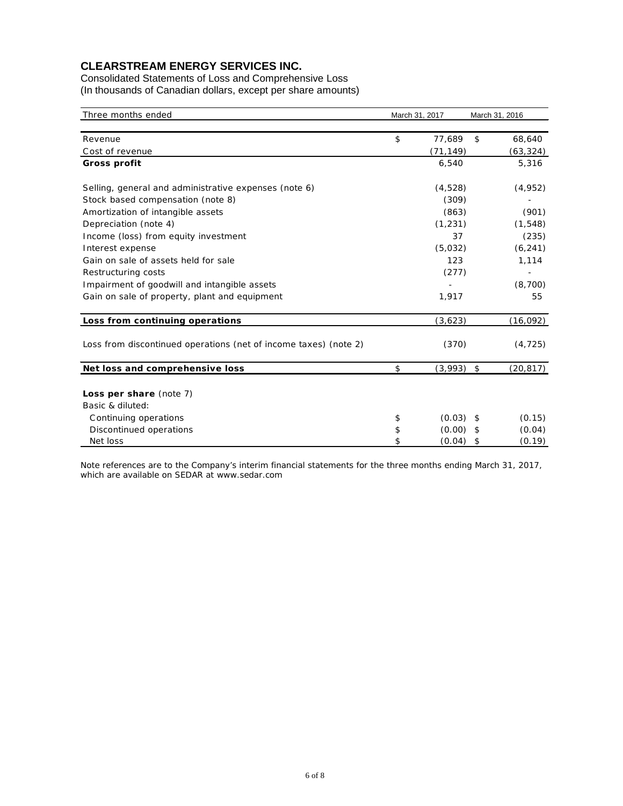Consolidated Statements of Loss and Comprehensive Loss (In thousands of Canadian dollars, except per share amounts)

| Three months ended                                               |    | March 31, 2017 | March 31, 2016 |           |
|------------------------------------------------------------------|----|----------------|----------------|-----------|
| Revenue                                                          | \$ | 77,689         | \$             | 68,640    |
| Cost of revenue                                                  |    | (71, 149)      |                | (63, 324) |
| Gross profit                                                     |    | 6,540          |                | 5,316     |
| Selling, general and administrative expenses (note 6)            |    | (4, 528)       |                | (4, 952)  |
| Stock based compensation (note 8)                                |    | (309)          |                |           |
| Amortization of intangible assets                                |    | (863)          |                | (901)     |
| Depreciation (note 4)                                            |    | (1, 231)       |                | (1, 548)  |
| Income (loss) from equity investment                             |    | 37             |                | (235)     |
| Interest expense                                                 |    | (5,032)        |                | (6, 241)  |
| Gain on sale of assets held for sale                             |    | 123            |                | 1,114     |
| Restructuring costs                                              |    | (277)          |                |           |
| Impairment of goodwill and intangible assets                     |    |                |                | (8,700)   |
| Gain on sale of property, plant and equipment                    |    | 1,917          |                | 55        |
| Loss from continuing operations                                  |    | (3,623)        |                | (16,092)  |
| Loss from discontinued operations (net of income taxes) (note 2) |    | (370)          |                | (4, 725)  |
| Net loss and comprehensive loss                                  | \$ | (3,993)        | \$             | (20, 817) |
|                                                                  |    |                |                |           |
| Loss per share (note 7)                                          |    |                |                |           |
| Basic & diluted:                                                 |    |                |                |           |
| Continuing operations                                            | \$ | (0.03)         | \$             | (0.15)    |
| Discontinued operations                                          | \$ | (0.00)         | S              | (0.04)    |
| Net loss                                                         | \$ | (0.04)         | \$             | (0.19)    |

Note references are to the Company's interim financial statements for the three months ending March 31, 2017, which are available on SEDAR at www.sedar.com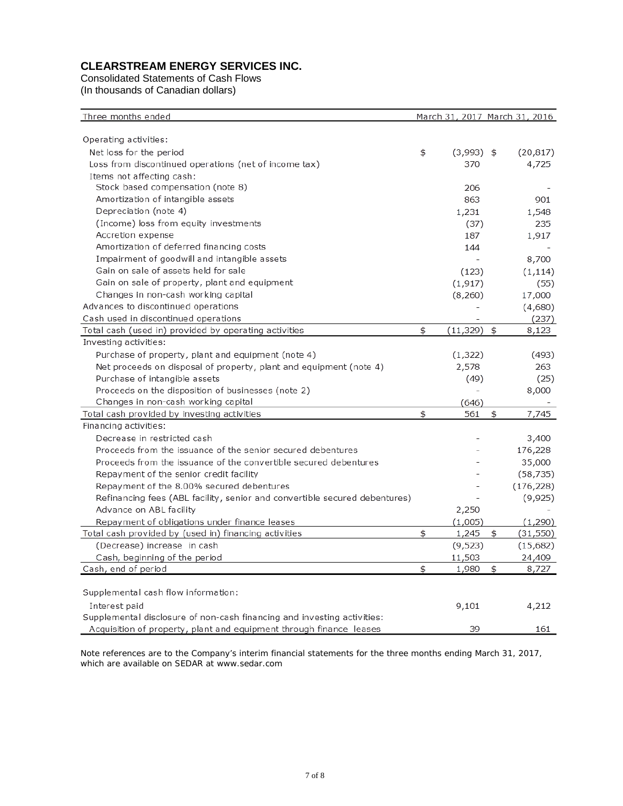Consolidated Statements of Cash Flows

(In thousands of Canadian dollars)

| Three months ended                                                         | March 31, 2017 March 31, 2016 |              |    |            |
|----------------------------------------------------------------------------|-------------------------------|--------------|----|------------|
|                                                                            |                               |              |    |            |
| Operating activities:                                                      |                               |              |    |            |
| Net loss for the period                                                    | \$                            | $(3,993)$ \$ |    | (20, 817)  |
| Loss from discontinued operations (net of income tax)                      |                               | 370          |    | 4,725      |
| Items not affecting cash:                                                  |                               |              |    |            |
| Stock based compensation (note 8)                                          |                               | 206          |    |            |
| Amortization of intangible assets                                          |                               | 863          |    | 901        |
| Depreciation (note 4)                                                      |                               | 1,231        |    | 1,548      |
| (Income) loss from equity investments                                      |                               | (37)         |    | 235        |
| Accretion expense                                                          |                               | 187          |    | 1,917      |
| Amortization of deferred financing costs                                   |                               | 144          |    |            |
| Impairment of goodwill and intangible assets                               |                               |              |    | 8,700      |
| Gain on sale of assets held for sale                                       |                               | (123)        |    | (1, 114)   |
| Gain on sale of property, plant and equipment                              |                               | (1, 917)     |    | (55)       |
| Changes in non-cash working capital                                        |                               | (8, 260)     |    | 17,000     |
| Advances to discontinued operations                                        |                               |              |    | (4,680)    |
| Cash used in discontinued operations                                       |                               |              |    | (237)      |
| Total cash (used in) provided by operating activities                      | \$                            | (11,329)     | \$ | 8,123      |
| Investing activities:                                                      |                               |              |    |            |
| Purchase of property, plant and equipment (note 4)                         |                               | (1, 322)     |    | (493)      |
| Net proceeds on disposal of property, plant and equipment (note 4)         |                               | 2,578        |    | 263        |
| Purchase of intangible assets                                              |                               | (49)         |    | (25)       |
| Proceeds on the disposition of businesses (note 2)                         |                               |              |    | 8,000      |
| Changes in non-cash working capital                                        |                               | (646)        |    |            |
| Total cash provided by investing activities                                | \$                            | 561          | \$ | 7,745      |
| Financing activities:                                                      |                               |              |    |            |
| Decrease in restricted cash                                                |                               |              |    | 3,400      |
| Proceeds from the issuance of the senior secured debentures                |                               |              |    | 176,228    |
| Proceeds from the issuance of the convertible secured debentures           |                               |              |    | 35,000     |
| Repayment of the senior credit facility                                    |                               |              |    | (58, 735)  |
| Repayment of the 8.00% secured debentures                                  |                               |              |    | (176, 228) |
| Refinancing fees (ABL facility, senior and convertible secured debentures) |                               |              |    | (9,925)    |
| Advance on ABL facility                                                    |                               | 2,250        |    |            |
| Repayment of obligations under finance leases                              |                               | (1,005)      |    | (1,290)    |
| Total cash provided by (used in) financing activities                      | \$                            | 1,245        | \$ | (31, 550)  |
| (Decrease) increase in cash                                                |                               | (9, 523)     |    | (15,682)   |
| Cash, beginning of the period                                              |                               | 11,503       |    | 24,409     |
| Cash, end of period                                                        | \$                            | 1,980        | \$ | 8,727      |
|                                                                            |                               |              |    |            |
| Supplemental cash flow information:                                        |                               |              |    |            |
| Interest paid                                                              |                               | 9,101        |    | 4,212      |
| Supplemental disclosure of non-cash financing and investing activities:    |                               |              |    |            |
| Acquisition of property, plant and equipment through finance leases        |                               | 39           |    | 161        |

Note references are to the Company's interim financial statements for the three months ending March 31, 2017, which are available on SEDAR at www.sedar.com